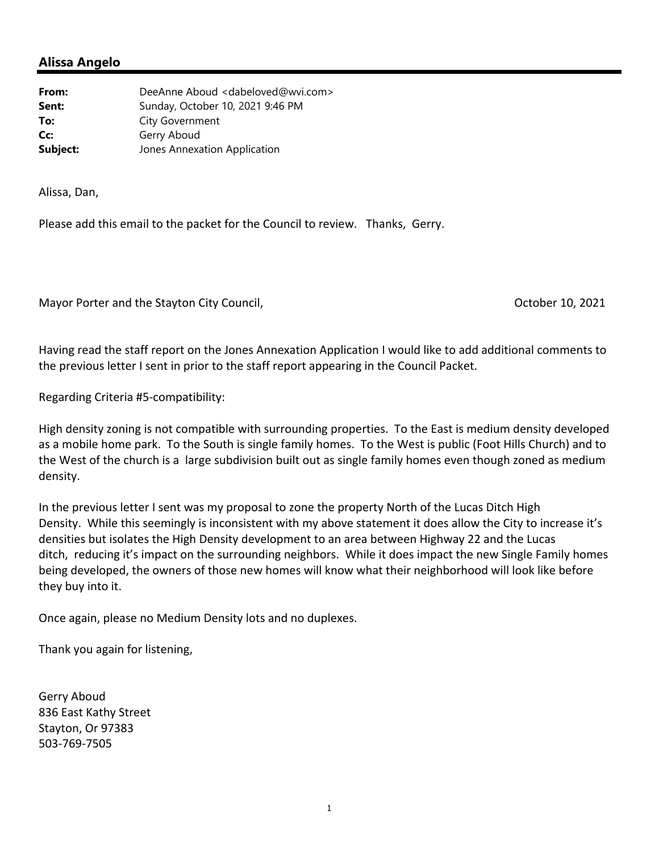## **Alissa Angelo**

| From:    | DeeAnne Aboud <dabeloved@wvi.com></dabeloved@wvi.com> |
|----------|-------------------------------------------------------|
| Sent:    | Sunday, October 10, 2021 9:46 PM                      |
| To:      | City Government                                       |
| Cc:      | Gerry Aboud                                           |
| Subject: | Jones Annexation Application                          |

Alissa, Dan,

Please add this email to the packet for the Council to review. Thanks, Gerry.

Mayor Porter and the Stayton City Council, *Mayor Porter and the Stayton City Council*, *COLO* 

Having read the staff report on the Jones Annexation Application I would like to add additional comments to the previous letter I sent in prior to the staff report appearing in the Council Packet.

Regarding Criteria #5‐compatibility:

High density zoning is not compatible with surrounding properties. To the East is medium density developed as a mobile home park. To the South is single family homes. To the West is public (Foot Hills Church) and to the West of the church is a large subdivision built out as single family homes even though zoned as medium density.

In the previous letter I sent was my proposal to zone the property North of the Lucas Ditch High Density. While this seemingly is inconsistent with my above statement it does allow the City to increase it's densities but isolates the High Density development to an area between Highway 22 and the Lucas ditch, reducing it's impact on the surrounding neighbors. While it does impact the new Single Family homes being developed, the owners of those new homes will know what their neighborhood will look like before they buy into it.

Once again, please no Medium Density lots and no duplexes.

Thank you again for listening,

Gerry Aboud 836 East Kathy Street Stayton, Or 97383 503‐769‐7505